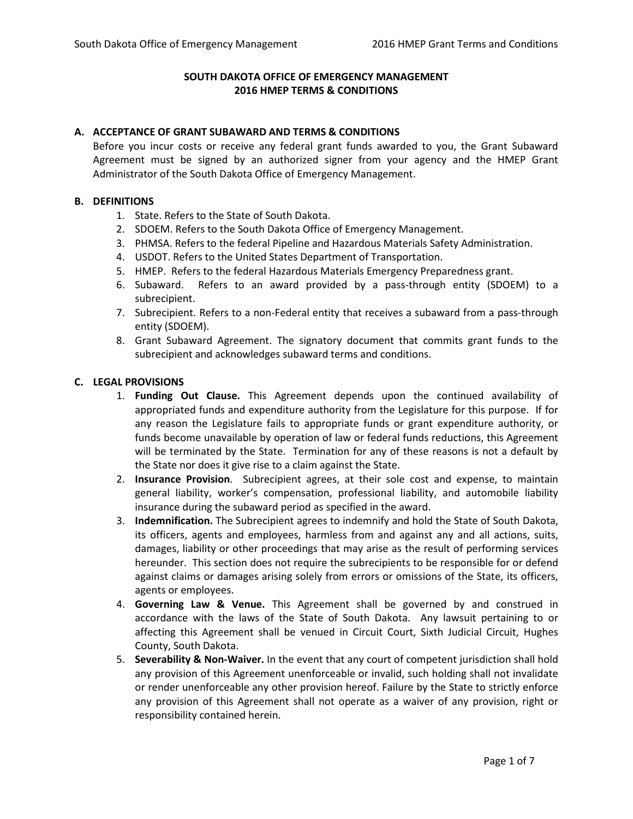# **SOUTH DAKOTA OFFICE OF EMERGENCY MANAGEMENT 2016 HMEP TERMS & CONDITIONS**

# **A. ACCEPTANCE OF GRANT SUBAWARD AND TERMS & CONDITIONS**

Before you incur costs or receive any federal grant funds awarded to you, the Grant Subaward Agreement must be signed by an authorized signer from your agency and the HMEP Grant Administrator of the South Dakota Office of Emergency Management.

# **B. DEFINITIONS**

- 1. State. Refers to the State of South Dakota.
- 2. SDOEM. Refers to the South Dakota Office of Emergency Management.
- 3. PHMSA. Refers to the federal Pipeline and Hazardous Materials Safety Administration.
- 4. USDOT. Refers to the United States Department of Transportation.
- 5. HMEP. Refers to the federal Hazardous Materials Emergency Preparedness grant.
- 6. Subaward. Refers to an award provided by a pass-through entity (SDOEM) to a subrecipient.
- 7. Subrecipient. Refers to a non-Federal entity that receives a subaward from a pass-through entity (SDOEM).
- 8. Grant Subaward Agreement. The signatory document that commits grant funds to the subrecipient and acknowledges subaward terms and conditions.

# **C. LEGAL PROVISIONS**

- 1. **Funding Out Clause.** This Agreement depends upon the continued availability of appropriated funds and expenditure authority from the Legislature for this purpose. If for any reason the Legislature fails to appropriate funds or grant expenditure authority, or funds become unavailable by operation of law or federal funds reductions, this Agreement will be terminated by the State. Termination for any of these reasons is not a default by the State nor does it give rise to a claim against the State.
- 2. **Insurance Provision**. Subrecipient agrees, at their sole cost and expense, to maintain general liability, worker's compensation, professional liability, and automobile liability insurance during the subaward period as specified in the award.
- 3. **Indemnification.** The Subrecipient agrees to indemnify and hold the State of South Dakota, its officers, agents and employees, harmless from and against any and all actions, suits, damages, liability or other proceedings that may arise as the result of performing services hereunder. This section does not require the subrecipients to be responsible for or defend against claims or damages arising solely from errors or omissions of the State, its officers, agents or employees.
- 4. **Governing Law & Venue.** This Agreement shall be governed by and construed in accordance with the laws of the State of South Dakota. Any lawsuit pertaining to or affecting this Agreement shall be venued in Circuit Court, Sixth Judicial Circuit, Hughes County, South Dakota.
- 5. **Severability & Non-Waiver.** In the event that any court of competent jurisdiction shall hold any provision of this Agreement unenforceable or invalid, such holding shall not invalidate or render unenforceable any other provision hereof. Failure by the State to strictly enforce any provision of this Agreement shall not operate as a waiver of any provision, right or responsibility contained herein.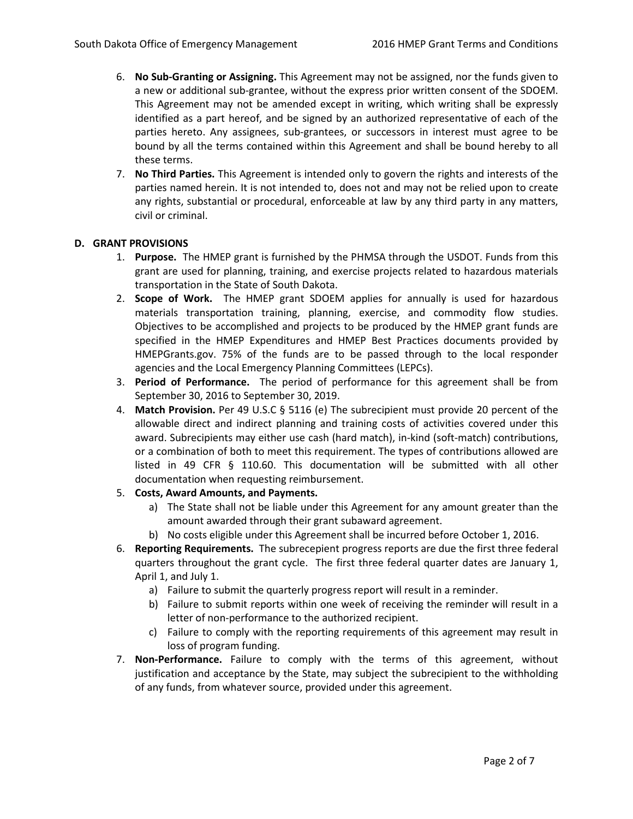- 6. **No Sub-Granting or Assigning.** This Agreement may not be assigned, nor the funds given to a new or additional sub-grantee, without the express prior written consent of the SDOEM. This Agreement may not be amended except in writing, which writing shall be expressly identified as a part hereof, and be signed by an authorized representative of each of the parties hereto. Any assignees, sub-grantees, or successors in interest must agree to be bound by all the terms contained within this Agreement and shall be bound hereby to all these terms.
- 7. **No Third Parties.** This Agreement is intended only to govern the rights and interests of the parties named herein. It is not intended to, does not and may not be relied upon to create any rights, substantial or procedural, enforceable at law by any third party in any matters, civil or criminal.

# **D. GRANT PROVISIONS**

- 1. **Purpose.** The HMEP grant is furnished by the PHMSA through the USDOT. Funds from this grant are used for planning, training, and exercise projects related to hazardous materials transportation in the State of South Dakota.
- 2. **Scope of Work.** The HMEP grant SDOEM applies for annually is used for hazardous materials transportation training, planning, exercise, and commodity flow studies. Objectives to be accomplished and projects to be produced by the HMEP grant funds are specified in the HMEP Expenditures and HMEP Best Practices documents provided by HMEPGrants.gov. 75% of the funds are to be passed through to the local responder agencies and the Local Emergency Planning Committees (LEPCs).
- 3. **Period of Performance.** The period of performance for this agreement shall be from September 30, 2016 to September 30, 2019.
- 4. **Match Provision.** Per 49 U.S.C § 5116 (e) The subrecipient must provide 20 percent of the allowable direct and indirect planning and training costs of activities covered under this award. Subrecipients may either use cash (hard match), in-kind (soft-match) contributions, or a combination of both to meet this requirement. The types of contributions allowed are listed in 49 CFR § 110.60. This documentation will be submitted with all other documentation when requesting reimbursement.
- 5. **Costs, Award Amounts, and Payments.** 
	- a) The State shall not be liable under this Agreement for any amount greater than the amount awarded through their grant subaward agreement.
	- b) No costs eligible under this Agreement shall be incurred before October 1, 2016.
- 6. **Reporting Requirements.** The subrecepient progress reports are due the first three federal quarters throughout the grant cycle. The first three federal quarter dates are January 1, April 1, and July 1.
	- a) Failure to submit the quarterly progress report will result in a reminder.
	- b) Failure to submit reports within one week of receiving the reminder will result in a letter of non-performance to the authorized recipient.
	- c) Failure to comply with the reporting requirements of this agreement may result in loss of program funding.
- 7. **Non-Performance.** Failure to comply with the terms of this agreement, without justification and acceptance by the State, may subject the subrecipient to the withholding of any funds, from whatever source, provided under this agreement.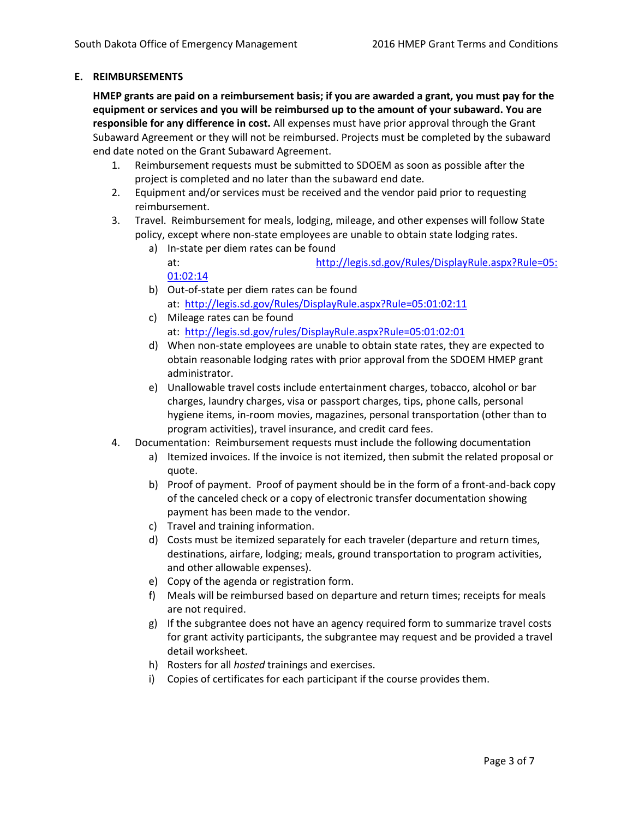# **E. REIMBURSEMENTS**

**HMEP grants are paid on a reimbursement basis; if you are awarded a grant, you must pay for the equipment or services and you will be reimbursed up to the amount of your subaward. You are responsible for any difference in cost.** All expenses must have prior approval through the Grant Subaward Agreement or they will not be reimbursed. Projects must be completed by the subaward end date noted on the Grant Subaward Agreement.

- 1. Reimbursement requests must be submitted to SDOEM as soon as possible after the project is completed and no later than the subaward end date.
- 2. Equipment and/or services must be received and the vendor paid prior to requesting reimbursement.
- 3. Travel. Reimbursement for meals, lodging, mileage, and other expenses will follow State policy, except where non-state employees are unable to obtain state lodging rates.
	- a) In-state per diem rates can be found at: [http://legis.sd.gov/Rules/DisplayRule.aspx?Rule=05:](http://legis.sd.gov/Rules/DisplayRule.aspx?Rule=05:01:02:14) [01:02:14](http://legis.sd.gov/Rules/DisplayRule.aspx?Rule=05:01:02:14)
	- b) Out-of-state per diem rates can be found at: <http://legis.sd.gov/Rules/DisplayRule.aspx?Rule=05:01:02:11>
	- c) Mileage rates can be found at: <http://legis.sd.gov/rules/DisplayRule.aspx?Rule=05:01:02:01>
	- d) When non-state employees are unable to obtain state rates, they are expected to obtain reasonable lodging rates with prior approval from the SDOEM HMEP grant administrator.
	- e) Unallowable travel costs include entertainment charges, tobacco, alcohol or bar charges, laundry charges, visa or passport charges, tips, phone calls, personal hygiene items, in-room movies, magazines, personal transportation (other than to program activities), travel insurance, and credit card fees.
- 4. Documentation: Reimbursement requests must include the following documentation
	- a) Itemized invoices. If the invoice is not itemized, then submit the related proposal or quote.
	- b) Proof of payment.Proof of payment should be in the form of a front-and-back copy of the canceled check or a copy of electronic transfer documentation showing payment has been made to the vendor.
	- c) Travel and training information.
	- d) Costs must be itemized separately for each traveler (departure and return times, destinations, airfare, lodging; meals, ground transportation to program activities, and other allowable expenses).
	- e) Copy of the agenda or registration form.
	- f) Meals will be reimbursed based on departure and return times; receipts for meals are not required.
	- g) If the subgrantee does not have an agency required form to summarize travel costs for grant activity participants, the subgrantee may request and be provided a travel detail worksheet.
	- h) Rosters for all *hosted* trainings and exercises.
	- i) Copies of certificates for each participant if the course provides them.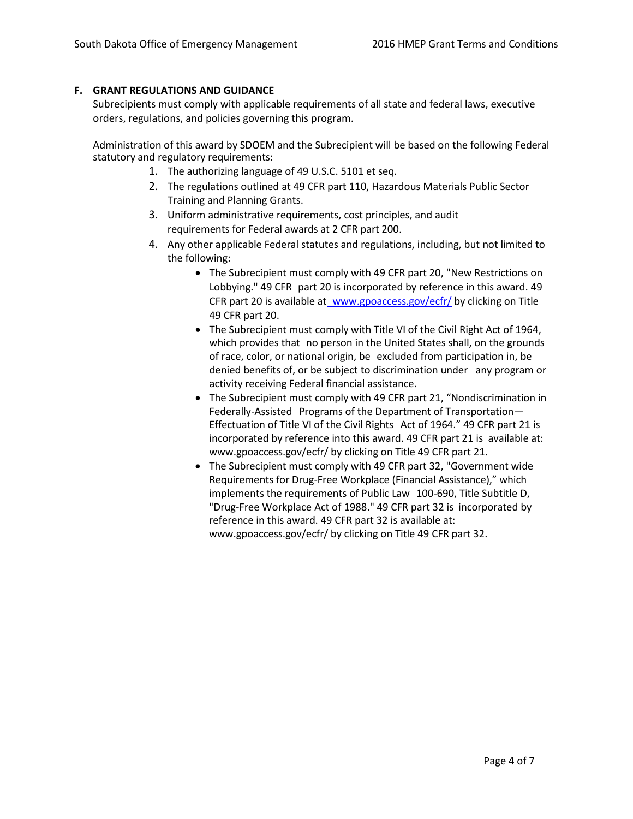# **F. GRANT REGULATIONS AND GUIDANCE**

Subrecipients must comply with applicable requirements of all state and federal laws, executive orders, regulations, and policies governing this program.

Administration of this award by SDOEM and the Subrecipient will be based on the following Federal statutory and regulatory requirements:

- 1. The authorizing language of 49 U.S.C. 5101 et seq.
- 2. The regulations outlined at 49 CFR part 110, Hazardous Materials Public Sector Training and Planning Grants.
- 3. Uniform administrative requirements, cost principles, and audit requirements for Federal awards at 2 CFR part 200.
- 4. Any other applicable Federal statutes and regulations, including, but not limited to the following:
	- The Subrecipient must comply with 49 CFR part 20, "New Restrictions on Lobbying." 49 CFR part 20 is incorporated by reference in this award. 49 CFR part 20 is available at www.gpoaccess.gov/ecfr/ by clicking on Title 49 CFR part 20.
	- The Subrecipient must comply with Title VI of the Civil Right Act of 1964, which provides that no person in the United States shall, on the grounds of race, color, or national origin, be excluded from participation in, be denied benefits of, or be subject to discrimination under any program or activity receiving Federal financial assistance.
	- The Subrecipient must comply with 49 CFR part 21, "Nondiscrimination in Federally-Assisted Programs of the Department of Transportation— Effectuation of Title VI of the Civil Rights Act of 1964." 49 CFR part 21 is incorporated by reference into this award. 49 CFR part 21 is available [at:](http://www.gpoaccess.gov/ecfr/) [www.gpoaccess.gov/ecfr/](http://www.gpoaccess.gov/ecfr/) by clicking on Title 49 CFR part 21.
	- The Subrecipient must comply with 49 CFR part 32, "Government wide Requirements for Drug-Free Workplace (Financial Assistance)," which implements the requirements of Public Law 100-690, Title Subtitle D, "Drug-Free Workplace Act of 1988." 49 CFR part 32 is incorporated by reference in this award. 49 CFR part 32 is available at[:](http://www.gpoaccess.gov/ecfr/) [www.gpoaccess.gov/ecfr/](http://www.gpoaccess.gov/ecfr/) by clicking on Title 49 CFR part 32.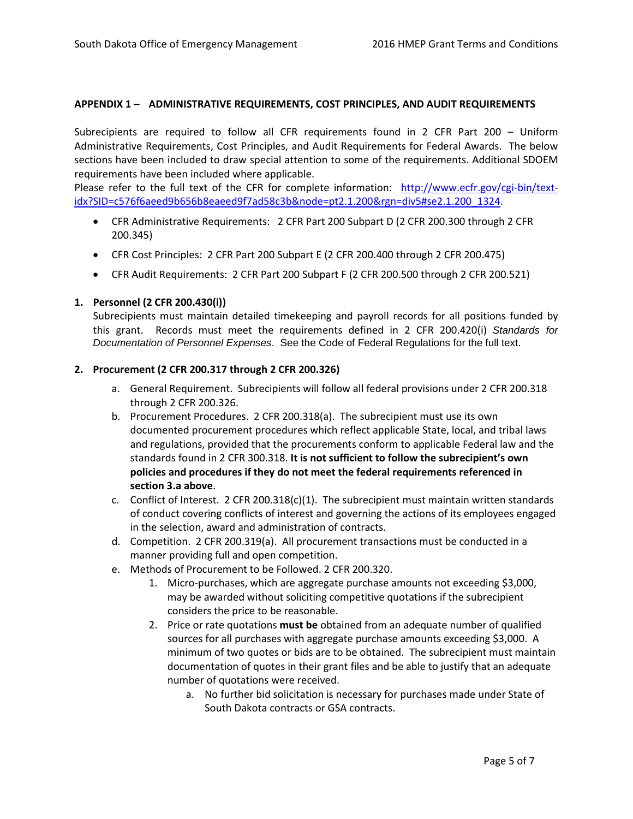# **APPENDIX 1 – ADMINISTRATIVE REQUIREMENTS, COST PRINCIPLES, AND AUDIT REQUIREMENTS**

Subrecipients are required to follow all CFR requirements found in 2 CFR Part 200 – Uniform Administrative Requirements, Cost Principles, and Audit Requirements for Federal Awards. The below sections have been included to draw special attention to some of the requirements. Additional SDOEM requirements have been included where applicable.

Please refer to the full text of the CFR for complete information: [http://www.ecfr.gov/cgi-bin/text](http://www.ecfr.gov/cgi-bin/text-idx?SID=c576f6aeed9b656b8eaeed9f7ad58c3b&node=pt2.1.200&rgn=div5#se2.1.200_1324)[idx?SID=c576f6aeed9b656b8eaeed9f7ad58c3b&node=pt2.1.200&rgn=div5#se2.1.200\\_1324.](http://www.ecfr.gov/cgi-bin/text-idx?SID=c576f6aeed9b656b8eaeed9f7ad58c3b&node=pt2.1.200&rgn=div5#se2.1.200_1324)

- CFR Administrative Requirements: 2 CFR Part 200 Subpart D (2 CFR 200.300 through 2 CFR 200.345)
- CFR Cost Principles: 2 CFR Part 200 Subpart E (2 CFR 200.400 through 2 CFR 200.475)
- CFR Audit Requirements: 2 CFR Part 200 Subpart F (2 CFR 200.500 through 2 CFR 200.521)

# **1. Personnel (2 CFR 200.430(i))**

Subrecipients must maintain detailed timekeeping and payroll records for all positions funded by this grant. Records must meet the requirements defined in 2 CFR 200.420(i) *Standards for Documentation of Personnel Expenses*. See the Code of Federal Regulations for the full text.

# **2. Procurement (2 CFR 200.317 through 2 CFR 200.326)**

- a. General Requirement. Subrecipients will follow all federal provisions under 2 CFR 200.318 through 2 CFR 200.326.
- b. Procurement Procedures. 2 CFR 200.318(a). The subrecipient must use its own documented procurement procedures which reflect applicable State, local, and tribal laws and regulations, provided that the procurements conform to applicable Federal law and the standards found in 2 CFR 300.318. **It is not sufficient to follow the subrecipient's own policies and procedures if they do not meet the federal requirements referenced in section 3.a above**.
- c. Conflict of Interest. 2 CFR 200.318 $(c)(1)$ . The subrecipient must maintain written standards of conduct covering conflicts of interest and governing the actions of its employees engaged in the selection, award and administration of contracts.
- d. Competition. 2 CFR 200.319(a). All procurement transactions must be conducted in a manner providing full and open competition.
- e. Methods of Procurement to be Followed. 2 CFR 200.320.
	- 1. Micro-purchases, which are aggregate purchase amounts not exceeding \$3,000, may be awarded without soliciting competitive quotations if the subrecipient considers the price to be reasonable.
	- 2. Price or rate quotations **must be** obtained from an adequate number of qualified sources for all purchases with aggregate purchase amounts exceeding \$3,000. A minimum of two quotes or bids are to be obtained. The subrecipient must maintain documentation of quotes in their grant files and be able to justify that an adequate number of quotations were received.
		- a. No further bid solicitation is necessary for purchases made under State of South Dakota contracts or GSA contracts.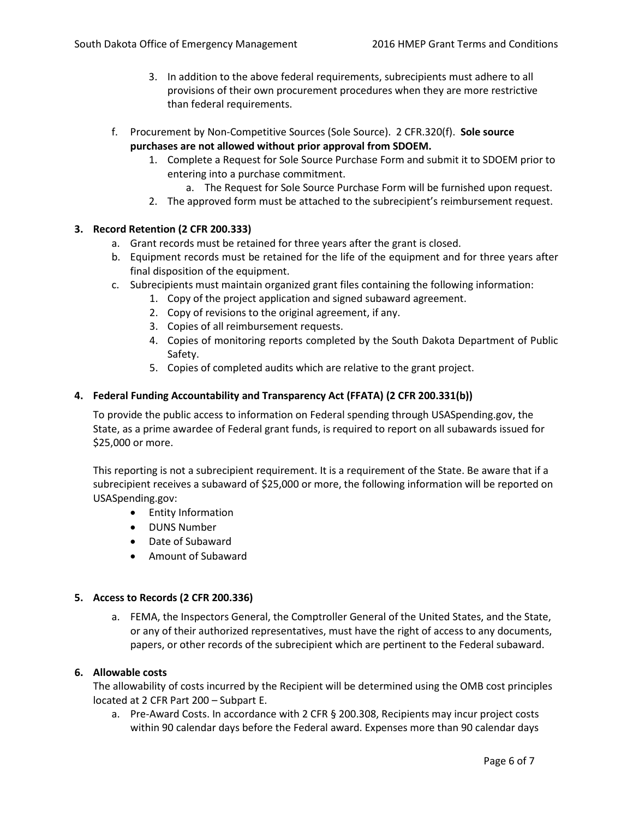- 3. In addition to the above federal requirements, subrecipients must adhere to all provisions of their own procurement procedures when they are more restrictive than federal requirements.
- f. Procurement by Non-Competitive Sources (Sole Source). 2 CFR.320(f). **Sole source purchases are not allowed without prior approval from SDOEM.**
	- 1. Complete a Request for Sole Source Purchase Form and submit it to SDOEM prior to entering into a purchase commitment.
		- a. The Request for Sole Source Purchase Form will be furnished upon request.
	- 2. The approved form must be attached to the subrecipient's reimbursement request.

#### **3. Record Retention (2 CFR 200.333)**

- a. Grant records must be retained for three years after the grant is closed.
- b. Equipment records must be retained for the life of the equipment and for three years after final disposition of the equipment.
- c. Subrecipients must maintain organized grant files containing the following information:
	- 1. Copy of the project application and signed subaward agreement.
	- 2. Copy of revisions to the original agreement, if any.
	- 3. Copies of all reimbursement requests.
	- 4. Copies of monitoring reports completed by the South Dakota Department of Public Safety.
	- 5. Copies of completed audits which are relative to the grant project.

# **4. Federal Funding Accountability and Transparency Act (FFATA) (2 CFR 200.331(b))**

To provide the public access to information on Federal spending through USASpending.gov, the State, as a prime awardee of Federal grant funds, is required to report on all subawards issued for \$25,000 or more.

This reporting is not a subrecipient requirement. It is a requirement of the State. Be aware that if a subrecipient receives a subaward of \$25,000 or more, the following information will be reported on USASpending.gov:

- Entity Information
- DUNS Number
- Date of Subaward
- Amount of Subaward

#### **5. Access to Records (2 CFR 200.336)**

a. FEMA, the Inspectors General, the Comptroller General of the United States, and the State, or any of their authorized representatives, must have the right of access to any documents, papers, or other records of the subrecipient which are pertinent to the Federal subaward.

#### **6. Allowable costs**

The allowability of costs incurred by the Recipient will be determined using the OMB cost principles located at 2 CFR Part 200 – Subpart E.

a. Pre-Award Costs. In accordance with 2 CFR § 200.308, Recipients may incur project costs within 90 calendar days before the Federal award. Expenses more than 90 calendar days